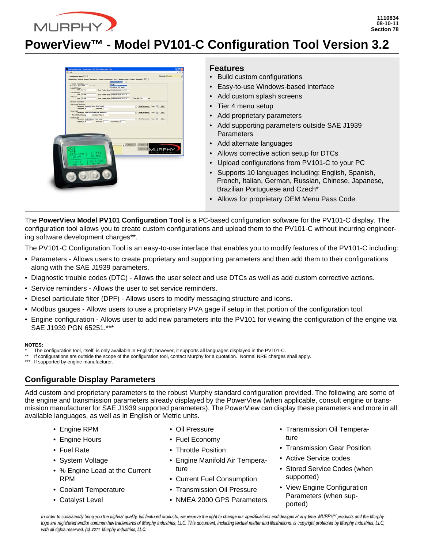

# **PowerView™ - Model PV101-C Configuration Tool Version 3.2**



## **Features**

- Build custom configurations
- Easy-to-use Windows-based interface
- Add custom splash screens
- Tier 4 menu setup
- Add proprietary parameters
- Add supporting parameters outside SAE J1939 **Parameters**
- Add alternate languages
- Allows corrective action setup for DTCs
- Upload configurations from PV101-C to your PC
- Supports 10 languages including: English, Spanish, French, Italian, German, Russian, Chinese, Japanese, Brazilian Portuguese and Czech\*
- Allows for proprietary OEM Menu Pass Code

The **PowerView Model PV101 Configuration Tool** is a PC-based configuration software for the PV101-C display. The configuration tool allows you to create custom configurations and upload them to the PV101-C without incurring engineering software development charges\*\*.

The PV101-C Configuration Tool is an easy-to-use interface that enables you to modify features of the PV101-C including:

- Parameters Allows users to create proprietary and supporting parameters and then add them to their configurations along with the SAE J1939 parameters.
- Diagnostic trouble codes (DTC) Allows the user select and use DTCs as well as add custom corrective actions.
- Service reminders Allows the user to set service reminders.
- Diesel particulate filter (DPF) Allows users to modify messaging structure and icons.
- Modbus gauges Allows users to use a proprietary PVA gage if setup in that portion of the configuration tool.
- Engine configuration Allows user to add new parameters into the PV101 for viewing the configuration of the engine via SAE J1939 PGN 65251.\*\*\*

#### **NOTES:**

- The configuration tool, itself, is only available in English; however, it supports all languages displayed in the PV101-C.
- If configurations are outside the scope of the configuration tool, contact Murphy for a quotation. Normal NRE charges shall apply.

If supported by engine manufacturer.

# **Configurable Display Parameters**

Add custom and proprietary parameters to the robust Murphy standard configuration provided. The following are some of the engine and transmission parameters already displayed by the PowerView (when applicable, consult engine or transmission manufacturer for SAE J1939 supported parameters). The PowerView can display these parameters and more in all available languages, as well as in English or Metric units.

- Engine RPM
- Engine Hours
- Fuel Rate
- System Voltage
- % Engine Load at the Current RPM
- Coolant Temperature
- Catalyst Level
- Oil Pressure
- Fuel Economy
- Throttle Position
- Engine Manifold Air Temperature
- Current Fuel Consumption
- Transmission Oil Pressure
- NMEA 2000 GPS Parameters
- Transmission Oil Temperature
- Transmission Gear Position
- Active Service codes
- Stored Service Codes (when supported)
- View Engine Configuration Parameters (when supported)

In order to consistently bring you the highest quality, full featured products, we reserve the right to change our specifications and designs at any time. MURPHY products and the Murphy logo are registered and/or common law trademarks of Murphy Industries, LLC. This document, including textual matter and illustrations, is copyright protected by Murphy Industries, LLC, with all rights reserved. (c) 2011 Murphy Industries, LLC.